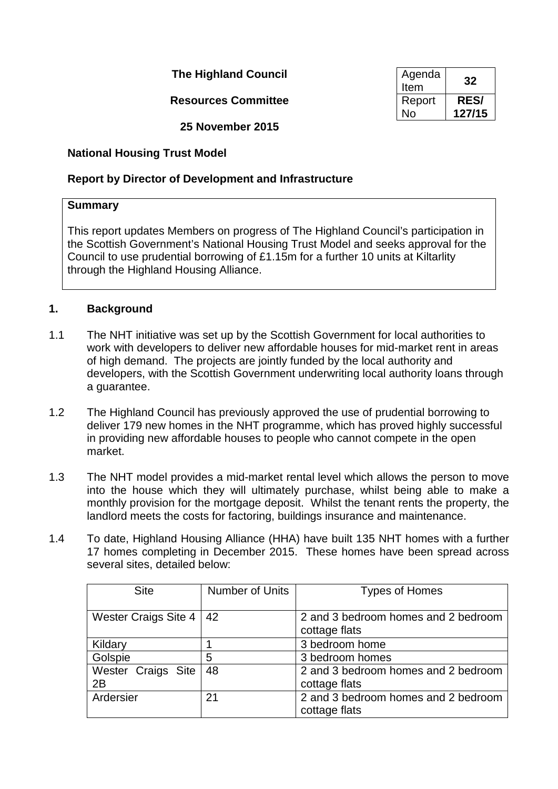**The Highland Council** 

**Resources Committee** 

**25 November 2015**

# **National Housing Trust Model**

# **Report by Director of Development and Infrastructure**

## **Summary**

This report updates Members on progress of The Highland Council's participation in the Scottish Government's National Housing Trust Model and seeks approval for the Council to use prudential borrowing of £1.15m for a further 10 units at Kiltarlity through the Highland Housing Alliance.

# **1. Background**

- 1.1 The NHT initiative was set up by the Scottish Government for local authorities to work with developers to deliver new affordable houses for mid-market rent in areas of high demand. The projects are jointly funded by the local authority and developers, with the Scottish Government underwriting local authority loans through a guarantee.
- 1.2 The Highland Council has previously approved the use of prudential borrowing to deliver 179 new homes in the NHT programme, which has proved highly successful in providing new affordable houses to people who cannot compete in the open market.
- 1.3 The NHT model provides a mid-market rental level which allows the person to move into the house which they will ultimately purchase, whilst being able to make a monthly provision for the mortgage deposit. Whilst the tenant rents the property, the landlord meets the costs for factoring, buildings insurance and maintenance.
- 1.4 To date, Highland Housing Alliance (HHA) have built 135 NHT homes with a further 17 homes completing in December 2015. These homes have been spread across several sites, detailed below:

| <b>Site</b>          | Number of Units | <b>Types of Homes</b>               |
|----------------------|-----------------|-------------------------------------|
|                      |                 |                                     |
| Wester Craigs Site 4 | 42              | 2 and 3 bedroom homes and 2 bedroom |
|                      |                 | cottage flats                       |
| Kildary              |                 | 3 bedroom home                      |
| Golspie              | 5               | 3 bedroom homes                     |
| Wester Craigs Site   | 48              | 2 and 3 bedroom homes and 2 bedroom |
| 2B                   |                 | cottage flats                       |
| Ardersier            | 21              | 2 and 3 bedroom homes and 2 bedroom |
|                      |                 | cottage flats                       |

| Agenda<br>Item | 32          |
|----------------|-------------|
| Report         | <b>RES/</b> |
| N٥             | 127/15      |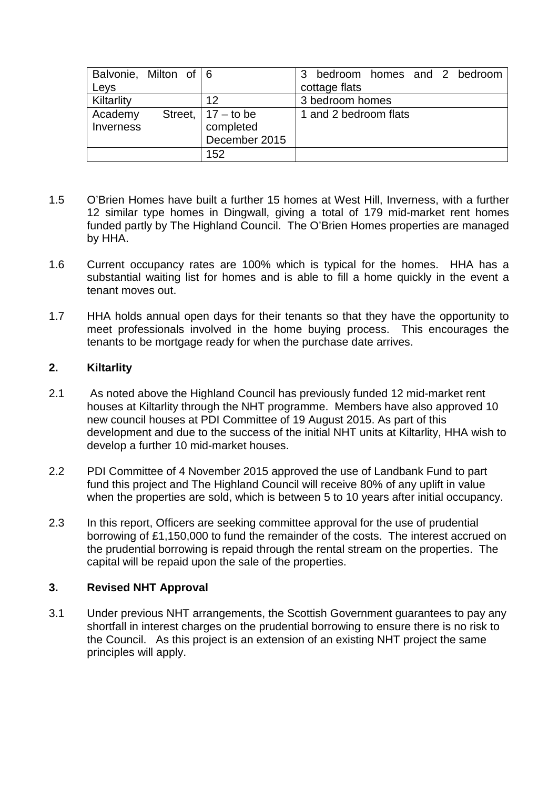| Balvonie, Milton of 6 |                       | bedroom homes and 2 bedroom<br>3 |
|-----------------------|-----------------------|----------------------------------|
| Leys                  |                       | cottage flats                    |
| Kiltarlity            | 12                    | 3 bedroom homes                  |
| Academy               | Street, $ 17 -$ to be | 1 and 2 bedroom flats            |
| Inverness             | completed             |                                  |
|                       | December 2015         |                                  |
|                       | 152                   |                                  |

- 1.5 O'Brien Homes have built a further 15 homes at West Hill, Inverness, with a further 12 similar type homes in Dingwall, giving a total of 179 mid-market rent homes funded partly by The Highland Council. The O'Brien Homes properties are managed by HHA.
- 1.6 Current occupancy rates are 100% which is typical for the homes. HHA has a substantial waiting list for homes and is able to fill a home quickly in the event a tenant moves out.
- 1.7 HHA holds annual open days for their tenants so that they have the opportunity to meet professionals involved in the home buying process. This encourages the tenants to be mortgage ready for when the purchase date arrives.

### **2. Kiltarlity**

- 2.1 As noted above the Highland Council has previously funded 12 mid-market rent houses at Kiltarlity through the NHT programme. Members have also approved 10 new council houses at PDI Committee of 19 August 2015. As part of this development and due to the success of the initial NHT units at Kiltarlity, HHA wish to develop a further 10 mid-market houses.
- 2.2 PDI Committee of 4 November 2015 approved the use of Landbank Fund to part fund this project and The Highland Council will receive 80% of any uplift in value when the properties are sold, which is between 5 to 10 years after initial occupancy.
- 2.3 In this report, Officers are seeking committee approval for the use of prudential borrowing of £1,150,000 to fund the remainder of the costs. The interest accrued on the prudential borrowing is repaid through the rental stream on the properties. The capital will be repaid upon the sale of the properties.

## **3. Revised NHT Approval**

3.1 Under previous NHT arrangements, the Scottish Government guarantees to pay any shortfall in interest charges on the prudential borrowing to ensure there is no risk to the Council. As this project is an extension of an existing NHT project the same principles will apply.